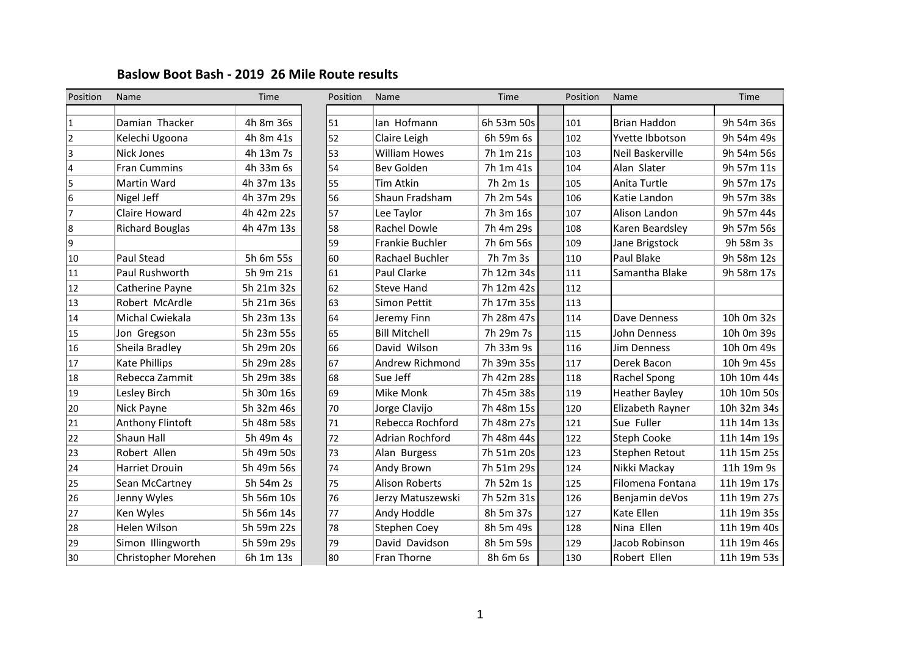## **Baslow Boot Bash - 2019 26 Mile Route results**

| Position       | Name                   | Time       | Position | Name                   | Time       | Position | Name                  | Time        |
|----------------|------------------------|------------|----------|------------------------|------------|----------|-----------------------|-------------|
|                |                        |            |          |                        |            |          |                       |             |
| 1              | Damian Thacker         | 4h 8m 36s  | 51       | lan Hofmann            | 6h 53m 50s | 101      | <b>Brian Haddon</b>   | 9h 54m 36s  |
| $\overline{2}$ | Kelechi Ugoona         | 4h 8m 41s  | 52       | Claire Leigh           | 6h 59m 6s  | 102      | Yvette Ibbotson       | 9h 54m 49s  |
| 3              | Nick Jones             | 4h 13m 7s  | 53       | <b>William Howes</b>   | 7h 1m 21s  | 103      | Neil Baskerville      | 9h 54m 56s  |
| 4              | <b>Fran Cummins</b>    | 4h 33m 6s  | 54       | Bev Golden             | 7h 1m 41s  | 104      | Alan Slater           | 9h 57m 11s  |
| 5              | Martin Ward            | 4h 37m 13s | 55       | <b>Tim Atkin</b>       | 7h 2m 1s   | 105      | Anita Turtle          | 9h 57m 17s  |
| 6              | Nigel Jeff             | 4h 37m 29s | 56       | Shaun Fradsham         | 7h 2m 54s  | 106      | Katie Landon          | 9h 57m 38s  |
|                | Claire Howard          | 4h 42m 22s | 57       | Lee Taylor             | 7h 3m 16s  | 107      | Alison Landon         | 9h 57m 44s  |
| 8              | <b>Richard Bouglas</b> | 4h 47m 13s | 58       | Rachel Dowle           | 7h 4m 29s  | 108      | Karen Beardsley       | 9h 57m 56s  |
| 9              |                        |            | 59       | Frankie Buchler        | 7h 6m 56s  | 109      | Jane Brigstock        | 9h 58m 3s   |
| 10             | Paul Stead             | 5h 6m 55s  | 60       | Rachael Buchler        | 7h 7m 3s   | 110      | Paul Blake            | 9h 58m 12s  |
| 11             | Paul Rushworth         | 5h 9m 21s  | 61       | Paul Clarke            | 7h 12m 34s | 111      | Samantha Blake        | 9h 58m 17s  |
| 12             | Catherine Payne        | 5h 21m 32s | 62       | <b>Steve Hand</b>      | 7h 12m 42s | 112      |                       |             |
| 13             | Robert McArdle         | 5h 21m 36s | 63       | Simon Pettit           | 7h 17m 35s | 113      |                       |             |
| 14             | Michal Cwiekala        | 5h 23m 13s | 64       | Jeremy Finn            | 7h 28m 47s | 114      | Dave Denness          | 10h 0m 32s  |
| 15             | Jon Gregson            | 5h 23m 55s | 65       | <b>Bill Mitchell</b>   | 7h 29m 7s  | 115      | John Denness          | 10h 0m 39s  |
| 16             | Sheila Bradley         | 5h 29m 20s | 66       | David Wilson           | 7h 33m 9s  | 116      | <b>Jim Denness</b>    | 10h 0m 49s  |
| 17             | <b>Kate Phillips</b>   | 5h 29m 28s | 67       | <b>Andrew Richmond</b> | 7h 39m 35s | 117      | Derek Bacon           | 10h 9m 45s  |
| 18             | Rebecca Zammit         | 5h 29m 38s | 68       | Sue Jeff               | 7h 42m 28s | 118      | Rachel Spong          | 10h 10m 44s |
| 19             | Lesley Birch           | 5h 30m 16s | 69       | <b>Mike Monk</b>       | 7h 45m 38s | 119      | <b>Heather Bayley</b> | 10h 10m 50s |
| 20             | Nick Payne             | 5h 32m 46s | 70       | Jorge Clavijo          | 7h 48m 15s | 120      | Elizabeth Rayner      | 10h 32m 34s |
| 21             | Anthony Flintoft       | 5h 48m 58s | 71       | Rebecca Rochford       | 7h 48m 27s | 121      | Sue Fuller            | 11h 14m 13s |
| 22             | Shaun Hall             | 5h 49m 4s  | 72       | Adrian Rochford        | 7h 48m 44s | 122      | <b>Steph Cooke</b>    | 11h 14m 19s |
| 23             | Robert Allen           | 5h 49m 50s | 73       | Alan Burgess           | 7h 51m 20s | 123      | Stephen Retout        | 11h 15m 25s |
| 24             | <b>Harriet Drouin</b>  | 5h 49m 56s | 74       | Andy Brown             | 7h 51m 29s | 124      | Nikki Mackay          | 11h 19m 9s  |
| 25             | Sean McCartney         | 5h 54m 2s  | 75       | <b>Alison Roberts</b>  | 7h 52m 1s  | 125      | Filomena Fontana      | 11h 19m 17s |
| 26             | Jenny Wyles            | 5h 56m 10s | 76       | Jerzy Matuszewski      | 7h 52m 31s | 126      | Benjamin deVos        | 11h 19m 27s |
| 27             | Ken Wyles              | 5h 56m 14s | 77       | Andy Hoddle            | 8h 5m 37s  | 127      | Kate Ellen            | 11h 19m 35s |
| 28             | Helen Wilson           | 5h 59m 22s | 78       | <b>Stephen Coey</b>    | 8h 5m 49s  | 128      | Nina Ellen            | 11h 19m 40s |
| 29             | Simon Illingworth      | 5h 59m 29s | 79       | David Davidson         | 8h 5m 59s  | 129      | Jacob Robinson        | 11h 19m 46s |
| 30             | Christopher Morehen    | 6h 1m 13s  | 80       | Fran Thorne            | 8h 6m 6s   | 130      | Robert Ellen          | 11h 19m 53s |